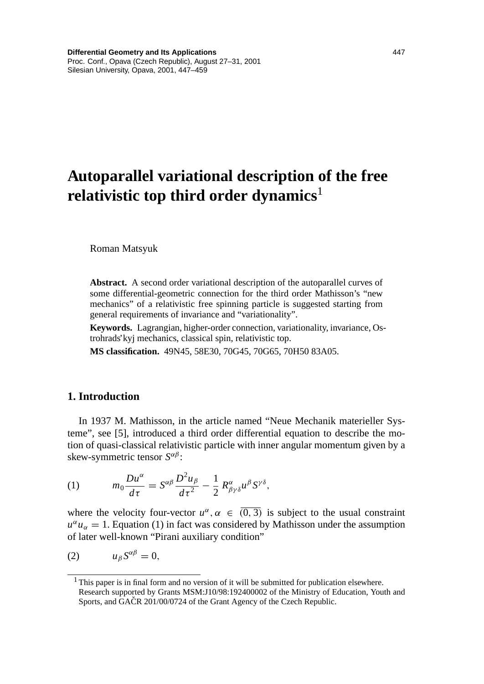# **Autoparallel variational description of the free relativistic top third order dynamics**<sup>1</sup>

Roman Matsyuk

**Abstract.** A second order variational description of the autoparallel curves of some differential-geometric connection for the third order Mathisson's "new mechanics" of a relativistic free spinning particle is suggested starting from general requirements of invariance and "variationality".

**Keywords.** Lagrangian, higher-order connection, variationality, invariance, Ostrohrads'kyj mechanics, classical spin, relativistic top.

**MS classification.** 49N45, 58E30, 70G45, 70G65, 70H50 83A05.

# **1. Introduction**

In 1937 M. Mathisson, in the article named "Neue Mechanik materieller Systeme", see [5], introduced a third order differential equation to describe the motion of quasi-classical relativistic particle with inner angular momentum given by a skew-symmetric tensor *S*αβ:

(1) 
$$
m_0 \frac{Du^{\alpha}}{d\tau} = S^{\alpha\beta} \frac{D^2 u_{\beta}}{d\tau^2} - \frac{1}{2} R^{\alpha}_{\beta\gamma\delta} u^{\beta} S^{\gamma\delta},
$$

where the velocity four-vector  $u^{\alpha}$ ,  $\alpha \in (0, 3)$  is subject to the usual constraint  $u^{\alpha}u_{\alpha} = 1$ . Equation (1) in fact was considered by Mathisson under the assumption of later well-known "Pirani auxiliary condition"

$$
(2) \t u_{\beta} S^{\alpha\beta} = 0,
$$

<sup>&</sup>lt;sup>1</sup> This paper is in final form and no version of it will be submitted for publication elsewhere. Research supported by Grants MSM:J10/98:192400002 of the Ministry of Education, Youth and Sports, and GAČR 201/00/0724 of the Grant Agency of the Czech Republic.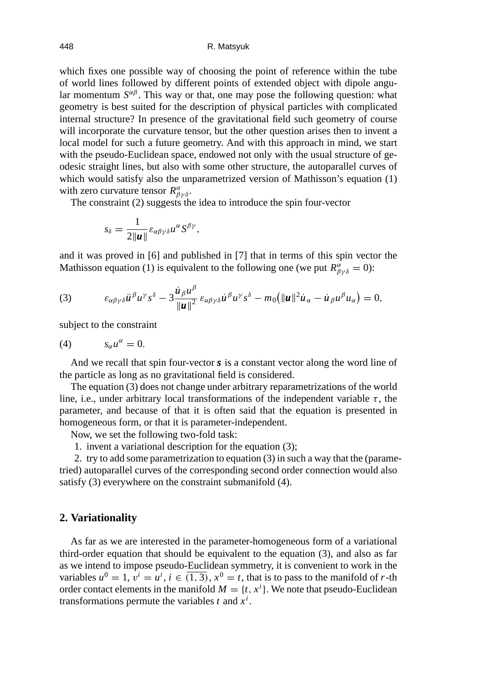which fixes one possible way of choosing the point of reference within the tube of world lines followed by different points of extended object with dipole angular momentum  $S^{\alpha\beta}$ . This way or that, one may pose the following question: what geometry is best suited for the description of physical particles with complicated internal structure? In presence of the gravitational field such geometry of course will incorporate the curvature tensor, but the other question arises then to invent a local model for such a future geometry.And with this approach in mind, we start with the pseudo-Euclidean space, endowed not only with the usual structure of geodesic straight lines, but also with some other structure, the autoparallel curves of which would satisfy also the unparametrized version of Mathisson's equation (1) with zero curvature tensor  $R^{\alpha}_{\beta\gamma\delta}$ .

The constraint (2) suggests the idea to introduce the spin four-vector

$$
s_{\delta} = \frac{1}{2\|\boldsymbol{u}\|} \varepsilon_{\alpha\beta\gamma\delta} u^{\alpha} S^{\beta\gamma},
$$

and it was proved in [6] and published in [7] that in terms of this spin vector the Mathisson equation (1) is equivalent to the following one (we put  $R^{\alpha}_{\beta\gamma\delta} = 0$ ):

(3) 
$$
\varepsilon_{\alpha\beta\gamma\delta}\ddot{u}^{\beta}u^{\gamma}s^{\delta}-3\frac{\dot{u}_{\beta}u^{\beta}}{\|\boldsymbol{u}\|^{2}}\varepsilon_{\alpha\beta\gamma\delta}\dot{u}^{\beta}u^{\gamma}s^{\delta}-m_{0}(\|\boldsymbol{u}\|^{2}\dot{u}_{\alpha}-\dot{u}_{\beta}u^{\beta}u_{\alpha})=0,
$$

subject to the constraint

$$
(4) \t s_{\alpha} u^{\alpha} = 0.
$$

And we recall that spin four-vector **s** is a constant vector along the word line of the particle as long as no gravitational field is considered.

The equation (3) does not change under arbitrary reparametrizations of the world line, i.e., under arbitrary local transformations of the independent variable  $\tau$ , the parameter, and because of that it is often said that the equation is presented in homogeneous form, or that it is parameter-independent.

Now, we set the following two-fold task:

1. invent a variational description for the equation  $(3)$ ;

2. try to add some parametrization to equation  $(3)$  in such a way that the (parametried) autoparallel curves of the corresponding second order connection would also satisfy (3) everywhere on the constraint submanifold (4).

## **2. Variationality**

As far as we are interested in the parameter-homogeneous form of a variational third-order equation that should be equivalent to the equation (3), and also as far as we intend to impose pseudo-Euclidean symmetry, it is convenient to work in the variables  $u^0 = 1$ ,  $v^i = u^i$ ,  $i \in (1, 3)$ ,  $x^0 = t$ , that is to pass to the manifold of *r*-th order contact elements in the manifold  $M = \{t, x^i\}$ . We note that pseudo-Euclidean transformations permute the variables  $t$  and  $x^i$ .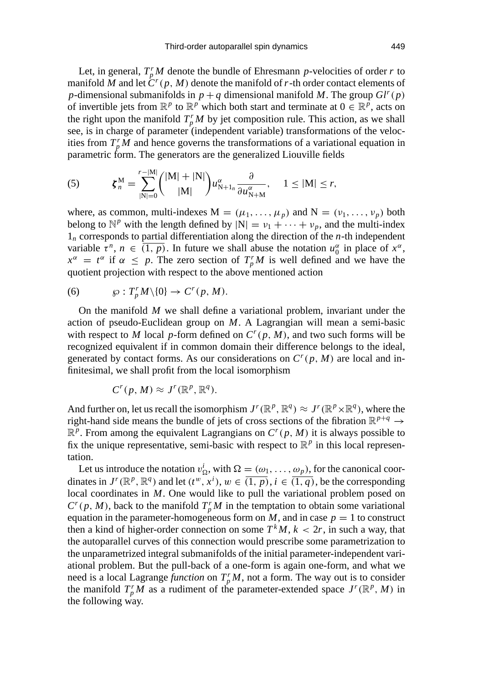Let, in general,  $T_p^rM$  denote the bundle of Ehresmann *p*-velocities of order *r* to manifold *M* and let  $\overline{C}^r(p, M)$  denote the manifold of r-th order contact elements of *p*-dimensional submanifolds in  $p + q$  dimensional manifold *M*. The group  $GI^{r}(p)$ of invertible jets from  $\mathbb{R}^p$  to  $\mathbb{R}^p$  which both start and terminate at  $0 \in \mathbb{R}^p$ , acts on the right upon the manifold  $T_p^rM$  by jet composition rule. This action, as we shall see, is in charge of parameter (independent variable) transformations of the velocities from  $T_p^rM$  and hence governs the transformations of a variational equation in parametric form. The generators are the generalized Liouville fields

(5) 
$$
\zeta_n^M = \sum_{|N|=0}^{r-|M|} {\binom{|M|+|N|}{|M|}} u_{N+1_n}^{\alpha} \frac{\partial}{\partial u_{N+M}^{\alpha}}, \quad 1 \leq |M| \leq r,
$$

where, as common, multi-indexes  $M = (\mu_1, \dots, \mu_p)$  and  $N = (\nu_1, \dots, \nu_p)$  both belong to  $\mathbb{N}^p$  with the length defined by  $|\mathbb{N}| = v_1 + \cdots + v_p$ , and the multi-index  $1<sub>n</sub>$  corresponds to partial differentiation along the direction of the *n*-th independent variable  $\tau^n$ ,  $n \in (1, p)$ . In future we shall abuse the notation  $u_0^{\alpha}$  in place of  $x^{\alpha}$ ,  $x^{\alpha} = t^{\alpha}$  if  $\alpha \leq p$ . The zero section of  $T_p^rM$  is well defined and we have the quotient projection with respect to the above mentioned action

(6) 
$$
\wp: T_p^r M \setminus \{0\} \to C^r(p, M).
$$

On the manifold *M* we shall define a variational problem, invariant under the action of pseudo-Euclidean group on *M*.A Lagrangian will mean a semi-basic with respect to *M* local *p*-form defined on  $C^{r}(p, M)$ , and two such forms will be recognized equivalent if in common domain their difference belongs to the ideal, generated by contact forms. As our considerations on  $C^r(p, M)$  are local and infinitesimal, we shall profit from the local isomorphism

$$
C^r(p,M)\approx J^r(\mathbb{R}^p,\mathbb{R}^q).
$$

And further on, let us recall the isomorphism  $J^r(\mathbb{R}^p, \mathbb{R}^q) \approx J^r(\mathbb{R}^p \times \mathbb{R}^q)$ , where the right-hand side means the bundle of jets of cross sections of the fibration  $\mathbb{R}^{p+q} \to$  $\mathbb{R}^p$ . From among the equivalent Lagrangians on  $C^r(p, M)$  it is always possible to fix the unique representative, semi-basic with respect to  $\mathbb{R}^p$  in this local representation.

Let us introduce the notation  $v^i_{\Omega}$ , with  $\Omega = (\omega_1, \dots, \omega_p)$ , for the canonical coordinates in  $J^r(\mathbb{R}^p, \mathbb{R}^q)$  and let  $(t^w, x^i)$ ,  $w \in (1, p)$ ,  $i \in (1, q)$ , be the corresponding local coordinates in *M*. One would like to pull the variational problem posed on  $C^{r}(p, M)$ , back to the manifold  $T_{p}^{r}M$  in the temptation to obtain some variational equation in the parameter-homogeneous form on *M*, and in case  $p = 1$  to construct then a kind of higher-order connection on some  $T^k M$ ,  $k < 2r$ , in such a way, that the autoparallel curves of this connection would prescribe some parametrization to the unparametrized integral submanifolds of the initial parameter-independent variational problem.But the pull-back of a one-form is again one-form, and what we need is a local Lagrange *function* on  $T_p^rM$ , not a form. The way out is to consider the manifold  $T_p^rM$  as a rudiment of the parameter-extended space  $J^r(\mathbb{R}^p, M)$  in the following way.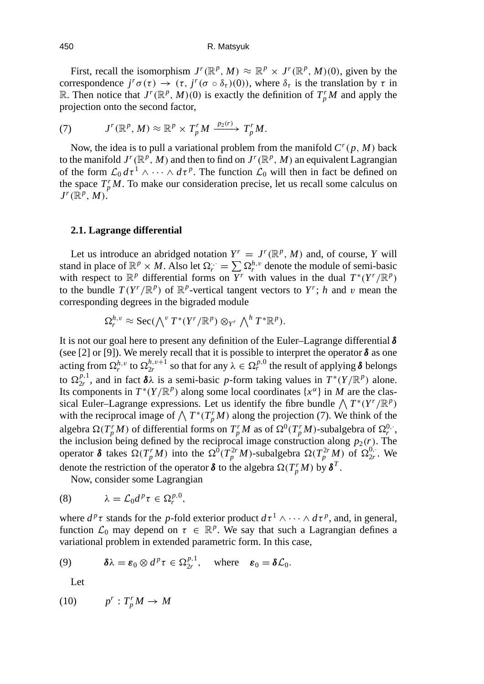First, recall the isomorphism  $J^r(\mathbb{R}^p, M) \approx \mathbb{R}^p \times J^r(\mathbb{R}^p, M)$ (0), given by the correspondence  $j^r \sigma(\tau) \to (\tau, j^r(\sigma \circ \delta_{\tau})(0))$ , where  $\delta_{\tau}$  is the translation by  $\tau$  in R. Then notice that  $J^r(\mathbb{R}^p, M)(0)$  is exactly the definition of  $T_p^rM$  and apply the projection onto the second factor,

(7) 
$$
J^r(\mathbb{R}^p, M) \approx \mathbb{R}^p \times T_p^r M \xrightarrow{p_2(r)} T_p^r M.
$$

Now, the idea is to pull a variational problem from the manifold  $C^r(p, M)$  back to the manifold  $J^r(\mathbb{R}^p, M)$  and then to find on  $J^r(\mathbb{R}^p, M)$  an equivalent Lagrangian of the form  $\mathcal{L}_0 d\tau^1 \wedge \cdots \wedge d\tau^p$ . The function  $\mathcal{L}_0$  will then in fact be defined on the space  $T_p^rM$ . To make our consideration precise, let us recall some calculus on  $J^r(\overline{\mathbb{R}}^p,M)$ .

#### **2.1. Lagrange differential**

Let us introduce an abridged notation  $Y^r = J^r(\mathbb{R}^p, M)$  and, of course, *Y* will stand in place of  $\mathbb{R}^p \times M$ . Also let  $\Omega_r^{\dots} = \sum \Omega_r^{h,v}$  denote the module of semi-basic with respect to  $\mathbb{R}^p$  differential forms on  $\overline{Y}^r$  with values in the dual  $T^*(Y^r/\mathbb{R}^p)$ to the bundle  $T(Y^r / \mathbb{R}^p)$  of  $\mathbb{R}^p$ -vertical tangent vectors to  $Y^r$ ; *h* and *v* mean the corresponding degrees in the bigraded module

$$
\Omega_r^{h,v} \approx \mathrm{Sec}(\bigwedge^v T^*(Y^r/\mathbb{R}^p) \otimes_{Y^r} \bigwedge^h T^*\mathbb{R}^p).
$$

It is not our goal here to present any definition of the Euler–Lagrange differential  $\delta$ (see [2] or [9]). We merely recall that it is possible to interpret the operator  $\delta$  as one acting from  $\Omega_r^{h,v}$  to  $\Omega_{2r}^{h,v+1}$  so that for any  $\lambda \in \Omega_r^{p,0}$  the result of applying  $\delta$  belongs to  $\Omega_{2r}^{p,1}$ , and in fact  $\delta \lambda$  is a semi-basic *p*-form taking values in  $T^*(Y/\mathbb{R}^p)$  alone. Its components in  $T^*(Y/\mathbb{R}^p)$  along some local coordinates  $\{x^\alpha\}$  in *M* are the classical Euler–Lagrange expressions. Let us identify the fibre bundle  $\bigwedge T^*(Y^r/\mathbb{R}^p)$ with the reciprocal image of  $\bigwedge T^*(T_p^rM)$  along the projection (7). We think of the algebra  $\Omega(T_p^r M)$  of differential forms on  $T_p^r M$  as of  $\Omega^0(T_p^r M)$ -subalgebra of  $\Omega_r^{0,\cdot}$ , the inclusion being defined by the reciprocal image construction along  $p_2(r)$ . The operator  $\delta$  takes  $\Omega(T_p^r M)$  into the  $\Omega^0(T_p^{2r} M)$ -subalgebra  $\Omega(T_p^{2r} M)$  of  $\Omega_{2r}^{0,\cdot}$ . We denote the restriction of the operator  $\boldsymbol{\delta}$  to the algebra  $\Omega(T_p^r M)$  by  $\boldsymbol{\delta}^T$ .

Now, consider some Lagrangian

(8) 
$$
\lambda = \mathcal{L}_0 d^p \tau \in \Omega_r^{p,0},
$$

where  $d^p\tau$  stands for the *p*-fold exterior product  $d\tau^1 \wedge \cdots \wedge d\tau^p$ , and, in general, function  $\mathcal{L}_0$  may depend on  $\tau \in \mathbb{R}^p$ . We say that such a Lagrangian defines a variational problem in extended parametric form. In this case,

(9) 
$$
\mathbf{\delta\lambda} = \mathbf{\varepsilon}_0 \otimes d^p \tau \in \Omega_{2r}^{p,1}, \quad \text{where} \quad \mathbf{\varepsilon}_0 = \mathbf{\delta\mathcal{L}_0}.
$$

Let

$$
(10) \t p^r : T_p^r M \to M
$$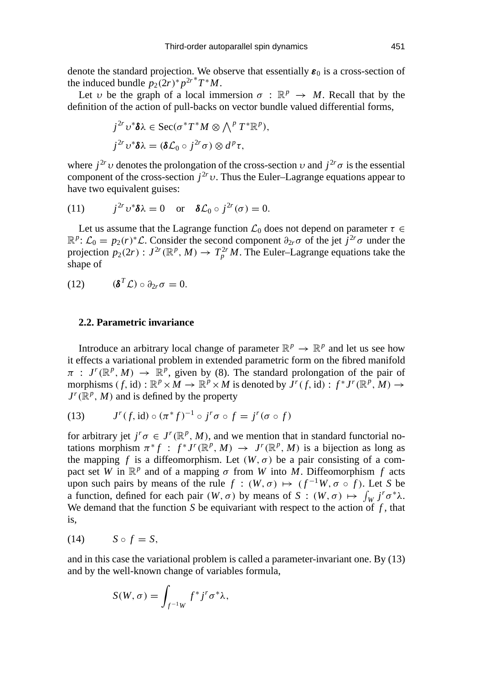denote the standard projection. We observe that essentially  $\varepsilon_0$  is a cross-section of the induced bundle  $p_2(2r)^* p^{2r^*} T^* M$ .

Let v be the graph of a local immersion  $\sigma$  :  $\mathbb{R}^p \to M$ . Recall that by the definition of the action of pull-backs on vector bundle valued differential forms,

$$
j^{2r}v^*\delta\lambda \in \text{Sec}(\sigma^*T^*M \otimes \bigwedge^p T^*\mathbb{R}^p),
$$
  

$$
j^{2r}v^*\delta\lambda = (\delta\mathcal{L}_0 \circ j^{2r}\sigma) \otimes d^p\tau,
$$

where  $j^{2r}v$  denotes the prolongation of the cross-section v and  $j^{2r}\sigma$  is the essential component of the cross-section  $i^{2r}v$ . Thus the Euler–Lagrange equations appear to have two equivalent guises:

(11) 
$$
j^{2r}v^*\delta\lambda = 0
$$
 or  $\delta\mathcal{L}_0 \circ j^{2r}(\sigma) = 0$ .

Let us assume that the Lagrange function  $\mathcal{L}_0$  does not depend on parameter  $\tau \in$  $\mathbb{R}^p$ :  $\mathcal{L}_0 = p_2(r)^* \mathcal{L}$ . Consider the second component  $\partial_{2r} \sigma$  of the jet  $j^{2r} \sigma$  under the projection  $p_2(2r) : J^{2r}(\mathbb{R}^p, M) \to T_p^{2r}M$ . The Euler–Lagrange equations take the shape of

(12) 
$$
(\boldsymbol{\delta}^T \mathcal{L}) \circ \partial_{2r} \sigma = 0.
$$

# **2.2. Parametric invariance**

Introduce an arbitrary local change of parameter  $\mathbb{R}^p \to \mathbb{R}^p$  and let us see how it effects a variational problem in extended parametric form on the fibred manifold  $\pi$  :  $J^r(\mathbb{R}^p, M) \to \mathbb{R}^p$ , given by (8). The standard prolongation of the pair of morphisms  $(f, id) : \mathbb{R}^p \times M \to \mathbb{R}^p \times M$  is denoted by  $J^r(f, id) : f^*J^r(\mathbb{R}^p, M) \to$  $J^r(\mathbb{R}^p, M)$  and is defined by the property

(13) 
$$
J^r(f, id) \circ (\pi^* f)^{-1} \circ j^r \sigma \circ f = j^r(\sigma \circ f)
$$

for arbitrary jet  $j^r \sigma \in J^r(\mathbb{R}^p, M)$ , and we mention that in standard functorial notations morphism  $\pi^* f : f^* J^r(\mathbb{R}^p, M) \to J^r(\mathbb{R}^p, M)$  is a bijection as long as the mapping *f* is a diffeomorphism. Let  $(W, \sigma)$  be a pair consisting of a compact set *W* in  $\mathbb{R}^p$  and of a mapping  $\sigma$  from *W* into *M*. Diffeomorphism f acts upon such pairs by means of the rule  $f : (W, \sigma) \mapsto (f^{-1}W, \sigma \circ f)$ . Let *S* be a function, defined for each pair  $(W, \sigma)$  by means of *S* :  $(W, \sigma) \mapsto \int_W j^r \sigma^* \lambda$ . We demand that the function  $S$  be equivariant with respect to the action of  $f$ , that is,

$$
(14) \tS \circ f = S,
$$

and in this case the variational problem is called a parameter-invariant one.By (13) and by the well-known change of variables formula,

$$
S(W,\sigma)=\int_{f^{-1}W}f^*j^r\sigma^*\lambda,
$$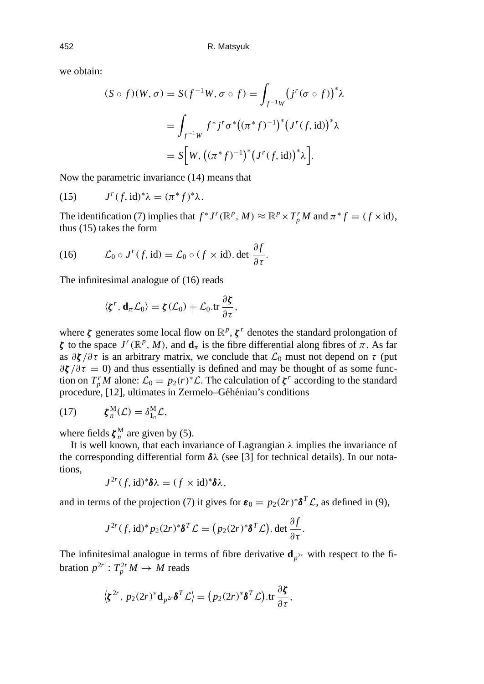we obtain:

$$
(S \circ f)(W, \sigma) = S(f^{-1}W, \sigma \circ f) = \int_{f^{-1}W} (j^r(\sigma \circ f))^* \lambda
$$
  
= 
$$
\int_{f^{-1}W} f^*j^r \sigma^* ((\pi^* f)^{-1})^* (J^r(f, id))^* \lambda
$$
  
= 
$$
S[W, ((\pi^* f)^{-1})^* (J^r(f, id))^* \lambda].
$$

Now the parametric invariance (14) means that

(15) 
$$
J^r(f, id)^* \lambda = (\pi^* f)^* \lambda.
$$

The identification (7) implies that  $f^*J^r(\mathbb{R}^p, M) \approx \mathbb{R}^p \times T_p^rM$  and  $\pi^*f = (f \times id)$ , thus (15) takes the form

(16) 
$$
\mathcal{L}_0 \circ J^r(f, id) = \mathcal{L}_0 \circ (f \times id). \det \frac{\partial f}{\partial \tau}.
$$

The infinitesimal analogue of (16) reads

$$
\langle \pmb{\zeta}^r, \mathbf{d}_\pi \mathcal{L}_0 \rangle = \pmb{\zeta}(\mathcal{L}_0) + \mathcal{L}_0 \text{ tr } \frac{\partial \pmb{\zeta}}{\partial \tau},
$$

where  $\zeta$  generates some local flow on  $\mathbb{R}^p$ ,  $\zeta^r$  denotes the standard prolongation of  $\zeta$  to the space *J<sup>r</sup>*( $\mathbb{R}^p$ , *M*), and **d**<sub>π</sub> is the fibre differential along fibres of π. As far as  $\partial \zeta / \partial \tau$  is an arbitrary matrix, we conclude that  $\mathcal{L}_0$  must not depend on  $\tau$  (put  $\partial \zeta / \partial \tau = 0$ ) and thus essentially is defined and may be thought of as some function on  $T_p^rM$  alone:  $\mathcal{L}_0 = p_2(r)^*\mathcal{L}$ . The calculation of  $\zeta^r$  according to the standard procedure, [12], ultimates in Zermelo–Géhéniau's conditions

(17) ζ <sup>M</sup> *<sup>n</sup>* (L) <sup>=</sup> <sup>δ</sup><sup>M</sup> <sup>1</sup>*n*L,

where fields  $\boldsymbol{\zeta}_n^{\text{M}}$  are given by (5).

It is well known, that each invariance of Lagrangian  $\lambda$  implies the invariance of the corresponding differential form  $\delta \lambda$  (see [3] for technical details). In our notations,

$$
J^{2r}(f, id)^{*}\delta\lambda = (f \times id)^{*}\delta\lambda,
$$

and in terms of the projection (7) it gives for  $\varepsilon_0 = p_2(2r) * \delta^T \mathcal{L}$ , as defined in (9),

$$
J^{2r}(f, id)^* p_2(2r)^* \delta^T \mathcal{L} = (p_2(2r)^* \delta^T \mathcal{L}). \det \frac{\partial f}{\partial \tau}.
$$

The infinitesimal analogue in terms of fibre derivative  $\mathbf{d}_{p^{2r}}$  with respect to the fibration  $p^{2r}: T_p^{2r}M \to M$  reads

$$
\langle \mathbf{\zeta}^{2r}, p_2(2r)^* \mathbf{d}_{p^{2r}} \mathbf{\delta}^T \mathcal{L} \rangle = (p_2(2r)^* \mathbf{\delta}^T \mathcal{L}). \operatorname{tr} \frac{\partial \mathbf{\zeta}}{\partial \tau},
$$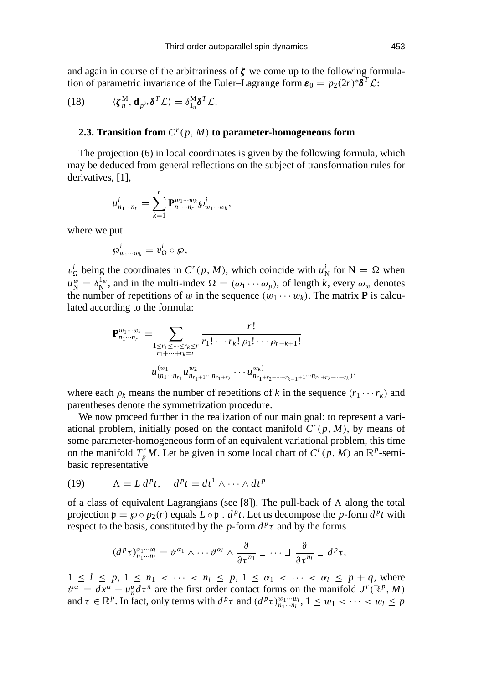and again in course of the arbitrariness of  $\zeta$  we come up to the following formulation of parametric invariance of the Euler–Lagrange form  $\varepsilon_0 = p_2(2r) * \delta^T \mathcal{L}$ :

(18) 
$$
\langle \boldsymbol{\zeta}_n^{\mathrm{M}}, \mathbf{d}_{p^{2r}} \boldsymbol{\delta}^T \boldsymbol{\mathcal{L}} \rangle = \delta_{1_n}^{\mathrm{M}} \boldsymbol{\delta}^T \boldsymbol{\mathcal{L}}.
$$

### **2.3. Transition from** *C<sup>r</sup>*(*p*, *M*) **to parameter-homogeneous form**

The projection (6) in local coordinates is given by the following formula, which may be deduced from general reflections on the subject of transformation rules for derivatives, [1],

$$
u_{n_1\cdots n_r}^i=\sum_{k=1}^r\mathbf{P}_{n_1\cdots n_r}^{w_1\cdots w_k}\wp_{w_1\cdots w_k}^i,
$$

where we put

$$
\wp_{w_1\cdots w_k}^i=v_{\Omega}^i\circ\wp,
$$

 $v^i_{\Omega}$  being the coordinates in  $C^r(p, M)$ , which coincide with  $u^i_N$  for  $N = \Omega$  when  $u_N^w = \delta_N^{1_w}$ , and in the multi-index  $\Omega = (\omega_1 \cdots \omega_p)$ , of length *k*, every  $\omega_w$  denotes the number of repetitions of w in the sequence  $(w_1 \cdots w_k)$ . The matrix **P** is calculated according to the formula:

$$
\mathbf{P}_{n_1\cdots n_r}^{w_1\cdots w_k} = \sum_{\substack{1 \le r_1 \le \cdots \le r_k \le r \\ r_1 + \cdots + r_k = r}} \frac{r!}{r_1! \cdots r_k! \rho_1! \cdots \rho_{r-k+1}!}
$$

$$
u_{(n_1\cdots n_{r_1}}^{(w_1} u_{n_{r_1+1}\cdots n_{r_1+r_2}}^{w_2} \cdots u_{n_{r_1+r_2+\cdots+r_{k-1}+1}\cdots n_{r_1+r_2+\cdots+r_k}}^{w_k)},
$$

where each  $\rho_k$  means the number of repetitions of *k* in the sequence  $(r_1 \cdots r_k)$  and parentheses denote the symmetrization procedure.

We now proceed further in the realization of our main goal: to represent a variational problem, initially posed on the contact manifold  $C^r(p, M)$ , by means of some parameter-homogeneous form of an equivalent variational problem, this time on the manifold  $T_p^r M$ . Let be given in some local chart of  $C^r(p, M)$  an  $\mathbb{R}^p$ -semibasic representative

(19) 
$$
\Lambda = L d^{p} t, \quad d^{p} t = dt^{1} \wedge \cdots \wedge dt^{p}
$$

of a class of equivalent Lagrangians (see [8]). The pull-back of  $\Lambda$  along the total projection  $\mathfrak{p} = \wp \circ p_2(r)$  equals  $L \circ \mathfrak{p}$ .  $d^p t$ . Let us decompose the *p*-form  $d^p t$  with respect to the basis, constituted by the *p*-form  $d^p\tau$  and by the forms

$$
(d^p\tau)^{\alpha_1\cdots\alpha_l}_{n_1\cdots n_l}=\vartheta^{\alpha_1}\wedge\cdots\vartheta^{\alpha_l}\wedge\frac{\partial}{\partial\tau^{n_1}}\perp\cdots\perp\frac{\partial}{\partial\tau^{n_l}}\perp d^p\tau,
$$

 $1 \leq l \leq p, 1 \leq n_1 < \cdots < n_l \leq p, 1 \leq \alpha_1 < \cdots < \alpha_l \leq p + q$ , where  $\vartheta^{\alpha} = dx^{\alpha} - u_n^{\alpha} d\tau^n$  are the first order contact forms on the manifold  $J^r(\mathbb{R}^p, M)$ and  $\tau \in \mathbb{R}^p$ . In fact, only terms with  $d^p\tau$  and  $(d^p\tau)_{n_1\cdots n_l}^{w_1\cdots w_l}$ ,  $1 \le w_1 < \cdots < w_l \le p$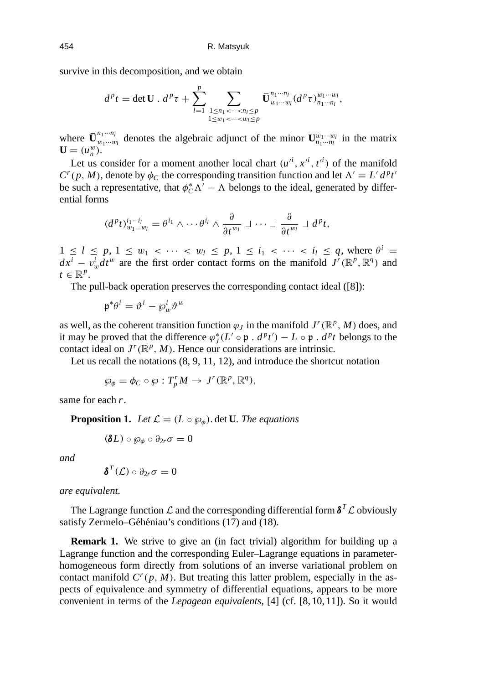survive in this decomposition, and we obtain

$$
d^pt = \det \mathbf{U} \cdot d^p \tau + \sum_{l=1}^p \sum_{\substack{1 \le n_1 < \dots < n_l \le p \\ 1 \le w_1 < \dots < w_l \le p}} \bar{\mathbf{U}}_{w_1 \dots w_l}^{n_1 \dots n_l} (d^p \tau)_{n_1 \dots n_l}^{w_1 \dots w_l},
$$

where  $\bar{\mathbf{U}}_{w_1\cdots w_l}^{n_1\cdots n_l}$  denotes the algebraic adjunct of the minor  $\mathbf{U}_{n_1\cdots n_l}^{w_1\cdots w_l}$  in the matrix  $\mathbf{U} = (u_n^w).$ 

Let us consider for a moment another local chart  $(u^{i}, x^{i}, t^{i})$  of the manifold  $C^{r}(p, M)$ , denote by  $\phi_{C}$  the corresponding transition function and let  $\Lambda' = L' d^{p} t'$ be such a representative, that  $\phi_C^* \Lambda^7 - \Lambda$  belongs to the ideal, generated by differential forms

$$
(d^p t)^{i_1\cdots i_l}_{w_1\ldots w_l}=\theta^{i_1}\wedge\cdots\theta^{i_l}\wedge \frac{\partial}{\partial t^{w_1}}\perp\cdots\perp \frac{\partial}{\partial t^{w_l}}\perp d^p t,
$$

 $1 \leq l \leq p, 1 \leq w_1 < \cdots < w_l \leq p, 1 \leq i_1 < \cdots < i_l \leq q$ , where  $\theta^i =$  $dx^{i} - v_{w}^{i} dt^{w}$  are the first order contact forms on the manifold  $J^{r}(\mathbb{R}^{p}, \mathbb{R}^{q})$  and  $t \in \mathbb{R}^p$ .

The pull-back operation preserves the corresponding contact ideal ([8]):

$$
\mathfrak{p}^*\theta^i=\vartheta^i-\wp_w^i\vartheta^w
$$

as well, as the coherent transition function  $\varphi_J$  in the manifold  $J^r(\mathbb{R}^p, M)$  does, and it may be proved that the difference  $\varphi_j^*(L' \circ \mathfrak{p} \cdot d^p t') - L \circ \mathfrak{p} \cdot d^p t$  belongs to the contact ideal on  $J^r(\mathbb{R}^p, M)$ . Hence our considerations are intrinsic.

Let us recall the notations (8, 9, 11, 12), and introduce the shortcut notation

$$
\wp_{\phi} = \phi_C \circ \wp : T_p^r M \to J^r(\mathbb{R}^p, \mathbb{R}^q),
$$

same for each *r*.

**Proposition 1.** *Let*  $\mathcal{L} = (L \circ \wp_{\phi})$ *.* det **U***. The equations* 

$$
(\delta L) \circ \wp_{\phi} \circ \partial_{2r} \sigma = 0
$$

*and*

$$
\boldsymbol{\delta}^T(\mathcal{L})\circ\partial_{2r}\sigma=0
$$

*are equivalent.*

The Lagrange function  $\mathcal L$  and the corresponding differential form  $\delta^T \mathcal L$  obviously satisfy Zermelo–Géhéniau's conditions (17) and (18).

**Remark 1.** We strive to give an (in fact trivial) algorithm for building up a Lagrange function and the corresponding Euler–Lagrange equations in parameterhomogeneous form directly from solutions of an inverse variational problem on contact manifold  $C^r(p, M)$ . But treating this latter problem, especially in the aspects of equivalence and symmetry of differential equations, appears to be more convenient in terms of the *Lepagean equivalents*, [4] (cf. [8, 10, 11]). So it would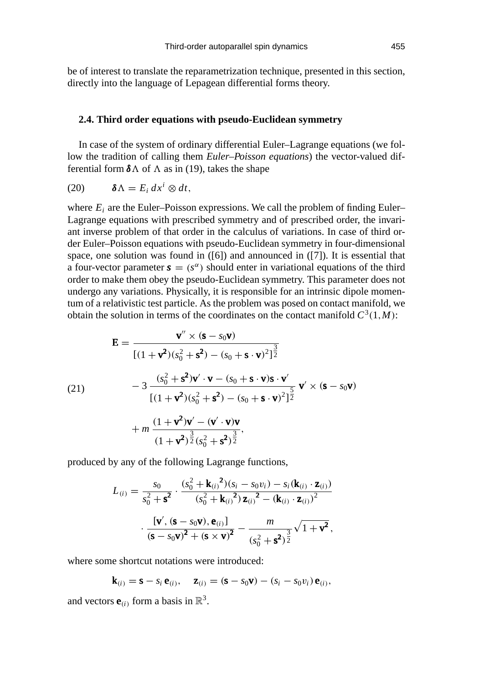be of interest to translate the reparametrization technique, presented in this section, directly into the language of Lepagean differential forms theory.

### **2.4. Third order equations with pseudo-Euclidean symmetry**

In case of the system of ordinary differential Euler–Lagrange equations (we follow the tradition of calling them *Euler–Poisson equations*) the vector-valued differential form  $\delta \Lambda$  of  $\Lambda$  as in (19), takes the shape

(20) δ = *Ei dx<sup>i</sup>* ⊗ *dt*,

where  $E_i$  are the Euler–Poisson expressions. We call the problem of finding Euler– Lagrange equations with prescribed symmetry and of prescribed order, the invariant inverse problem of that order in the calculus of variations.In case of third order Euler–Poisson equations with pseudo-Euclidean symmetry in four-dimensional space, one solution was found in  $([6])$  and announced in  $([7])$ . It is essential that a four-vector parameter  $\mathbf{s} = (s^{\alpha})$  should enter in variational equations of the third order to make them obey the pseudo-Euclidean symmetry.This parameter does not undergo any variations.Physically, it is responsible for an intrinsic dipole momentum of a relativistic test particle.As the problem was posed on contact manifold, we obtain the solution in terms of the coordinates on the contact manifold  $C^3(1,M)$ :

(21)  
\n
$$
\mathbf{E} = \frac{\mathbf{v}'' \times (\mathbf{s} - s_0 \mathbf{v})}{[(1 + \mathbf{v}^2)(s_0^2 + \mathbf{s}^2) - (s_0 + \mathbf{s} \cdot \mathbf{v})^2]^{\frac{3}{2}}}
$$
\n
$$
-3 \frac{(s_0^2 + \mathbf{s}^2)\mathbf{v}' \cdot \mathbf{v} - (s_0 + \mathbf{s} \cdot \mathbf{v})\mathbf{s} \cdot \mathbf{v}'}{[(1 + \mathbf{v}^2)(s_0^2 + \mathbf{s}^2) - (s_0 + \mathbf{s} \cdot \mathbf{v})^2]^{\frac{5}{2}}} \mathbf{v}' \times (\mathbf{s} - s_0 \mathbf{v})
$$
\n
$$
+ m \frac{(1 + \mathbf{v}^2)\mathbf{v}' - (\mathbf{v}' \cdot \mathbf{v})\mathbf{v}}{(1 + \mathbf{v}^2)^{\frac{3}{2}}(s_0^2 + \mathbf{s}^2)^{\frac{3}{2}}},
$$

produced by any of the following Lagrange functions,

$$
L_{(i)} = \frac{s_0}{s_0^2 + \mathbf{s}^2} \cdot \frac{(s_0^2 + \mathbf{k}_{(i)}^2)(s_i - s_0 v_i) - s_i(\mathbf{k}_{(i)} \cdot \mathbf{z}_{(i)})}{(s_0^2 + \mathbf{k}_{(i)}^2) \mathbf{z}_{(i)}^2 - (\mathbf{k}_{(i)} \cdot \mathbf{z}_{(i)})^2} \cdot \frac{[\mathbf{v}', (\mathbf{s} - s_0 \mathbf{v}), \mathbf{e}_{(i)}]}{(\mathbf{s} - s_0 \mathbf{v})^2 + (\mathbf{s} \times \mathbf{v})^2} - \frac{m}{(s_0^2 + \mathbf{s}^2)^{\frac{3}{2}}} \sqrt{1 + \mathbf{v}^2},
$$

where some shortcut notations were introduced:

$$
\mathbf{k}_{(i)} = \mathbf{s} - s_i \, \mathbf{e}_{(i)}, \quad \mathbf{z}_{(i)} = (\mathbf{s} - s_0 \mathbf{v}) - (s_i - s_0 v_i) \, \mathbf{e}_{(i)},
$$

and vectors  $\mathbf{e}_{(i)}$  form a basis in  $\mathbb{R}^3$ .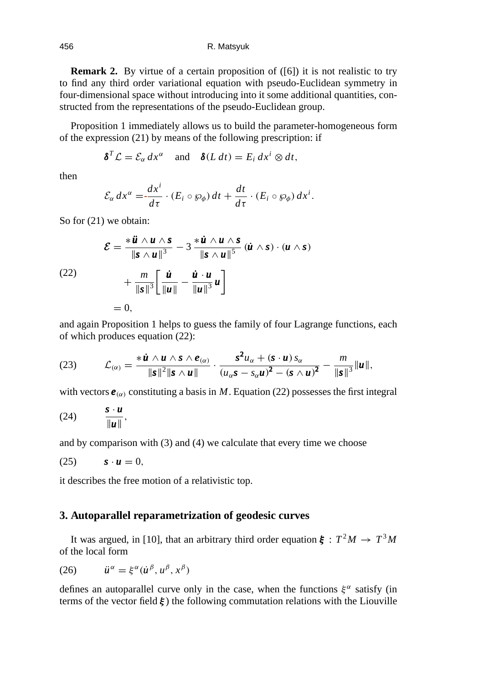**Remark 2.** By virtue of a certain proposition of ([6]) it is not realistic to try to find any third order variational equation with pseudo-Euclidean symmetry in four-dimensional space without introducing into it some additional quantities, constructed from the representations of the pseudo-Euclidean group.

Proposition 1 immediately allows us to build the parameter-homogeneous form of the expression (21) by means of the following prescription: if

$$
\delta^T \mathcal{L} = \mathcal{E}_{\alpha} dx^{\alpha} \quad \text{and} \quad \delta(L dt) = E_i dx^i \otimes dt,
$$

then

$$
\mathcal{E}_{\alpha} dx^{\alpha} = \frac{dx^{i}}{d\tau} \cdot (E_{i} \circ \wp_{\phi}) dt + \frac{dt}{d\tau} \cdot (E_{i} \circ \wp_{\phi}) dx^{i}.
$$

So for (21) we obtain:

(22)  

$$
\mathcal{E} = \frac{\ast \ddot{\mathbf{u}} \wedge \mathbf{u} \wedge \mathbf{s}}{\|\mathbf{s} \wedge \mathbf{u}\|^3} - 3 \frac{\ast \dot{\mathbf{u}} \wedge \mathbf{u} \wedge \mathbf{s}}{\|\mathbf{s} \wedge \mathbf{u}\|^5} (\dot{\mathbf{u}} \wedge \mathbf{s}) \cdot (\mathbf{u} \wedge \mathbf{s})
$$

$$
+ \frac{m}{\|\mathbf{s}\|^3} \left[ \frac{\dot{\mathbf{u}}}{\|\mathbf{u}\|} - \frac{\dot{\mathbf{u}} \cdot \mathbf{u}}{\|\mathbf{u}\|^3} \mathbf{u} \right]
$$

$$
= 0,
$$

and again Proposition 1 helps to guess the family of four Lagrange functions, each of which produces equation (22):

(23) 
$$
\mathcal{L}_{(\alpha)} = \frac{\ast \mathbf{\dot{u}} \wedge \mathbf{u} \wedge \mathbf{s} \wedge \mathbf{e}_{(\alpha)}}{\|\mathbf{s}\|^2 \|\mathbf{s} \wedge \mathbf{u}\|} \cdot \frac{\mathbf{s}^2 u_{\alpha} + (\mathbf{s} \cdot \mathbf{u}) s_{\alpha}}{(u_{\alpha} \mathbf{s} - s_{\alpha} \mathbf{u})^2 - (\mathbf{s} \wedge \mathbf{u})^2} - \frac{m}{\|\mathbf{s}\|^3} \|\mathbf{u}\|,
$$

with vectors  $e_{(a)}$  constituting a basis in *M*. Equation (22) possesses the first integral

$$
(24) \qquad \frac{s \cdot u}{\|u\|},
$$

and by comparison with (3) and (4) we calculate that every time we choose

$$
(25) \qquad \qquad \mathbf{s} \cdot \mathbf{u} = 0,
$$

it describes the free motion of a relativistic top.

## **3. Autoparallel reparametrization of geodesic curves**

It was argued, in [10], that an arbitrary third order equation  $\xi : T^2M \rightarrow T^3M$ of the local form

$$
(26) \qquad \ddot{u}^{\alpha} = \xi^{\alpha} (\dot{u}^{\beta}, u^{\beta}, x^{\beta})
$$

defines an autoparallel curve only in the case, when the functions  $\xi^{\alpha}$  satisfy (in terms of the vector field  $\xi$ ) the following commutation relations with the Liouville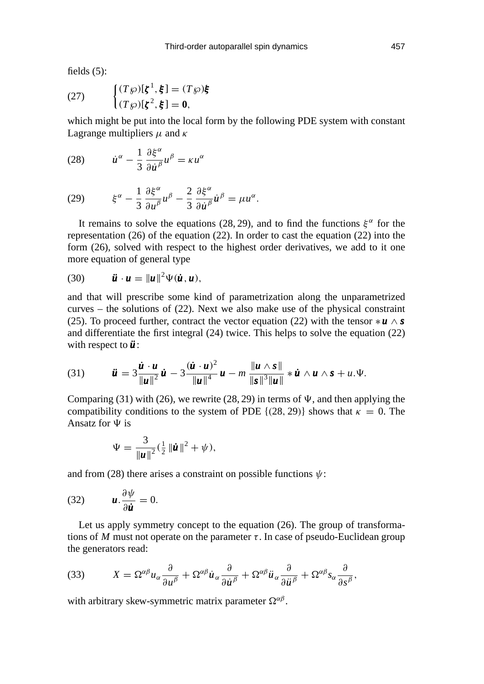fields  $(5)$ :

(27) 
$$
\begin{cases} (T\wp)[\boldsymbol{\zeta}^1, \boldsymbol{\xi}] = (T\wp)\boldsymbol{\xi} \\ (T\wp)[\boldsymbol{\zeta}^2, \boldsymbol{\xi}] = \mathbf{0}, \end{cases}
$$

which might be put into the local form by the following PDE system with constant Lagrange multipliers  $\mu$  and  $\kappa$ 

(28) 
$$
\dot{u}^{\alpha} - \frac{1}{3} \frac{\partial \xi^{\alpha}}{\partial \dot{u}^{\beta}} u^{\beta} = \kappa u^{\alpha}
$$

(29) 
$$
\xi^{\alpha} - \frac{1}{3} \frac{\partial \xi^{\alpha}}{\partial u^{\beta}} u^{\beta} - \frac{2}{3} \frac{\partial \xi^{\alpha}}{\partial \dot{u}^{\beta}} \dot{u}^{\beta} = \mu u^{\alpha}.
$$

It remains to solve the equations (28, 29), and to find the functions  $\xi^{\alpha}$  for the representation  $(26)$  of the equation  $(22)$ . In order to cast the equation  $(22)$  into the form (26), solved with respect to the highest order derivatives, we add to it one more equation of general type

(30) 
$$
\ddot{\boldsymbol{u}} \cdot \boldsymbol{u} = ||\boldsymbol{u}||^2 \Psi(\dot{\boldsymbol{u}}, \boldsymbol{u}),
$$

and that will prescribe some kind of parametrization along the unparametrized  $curves - the solutions of (22)$ . Next we also make use of the physical constraint (25). To proceed further, contract the vector equation (22) with the tensor  $*u \wedge s$ and differentiate the first integral (24) twice.This helps to solve the equation (22) with respect to  $\ddot{\boldsymbol{u}}$ :

(31) 
$$
\ddot{\boldsymbol{u}} = 3\frac{\dot{\boldsymbol{u}}\cdot\boldsymbol{u}}{\|\boldsymbol{u}\|^2}\dot{\boldsymbol{u}} - 3\frac{(\dot{\boldsymbol{u}}\cdot\boldsymbol{u})^2}{\|\boldsymbol{u}\|^4}\boldsymbol{u} - m\frac{\|\boldsymbol{u}\wedge\boldsymbol{s}\|}{\|\boldsymbol{s}\|^3\|\boldsymbol{u}\|}*\dot{\boldsymbol{u}}\wedge\boldsymbol{u}\wedge\boldsymbol{s} + u.\boldsymbol{\Psi}.
$$

Comparing (31) with (26), we rewrite (28, 29) in terms of  $\Psi$ , and then applying the compatibility conditions to the system of PDE {(28, 29)} shows that  $\kappa = 0$ . The Ansatz for  $\Psi$  is

$$
\Psi = \frac{3}{\Vert \boldsymbol{\mu} \Vert^2} (\frac{1}{2} \Vert \boldsymbol{\dot{\mu}} \Vert^2 + \psi),
$$

and from (28) there arises a constraint on possible functions  $\psi$ :

(32) 
$$
\boldsymbol{u} \cdot \frac{\partial \psi}{\partial \boldsymbol{u}} = 0.
$$

Let us apply symmetry concept to the equation (26). The group of transformations of  $M$  must not operate on the parameter  $\tau$ . In case of pseudo-Euclidean group the generators read:

(33) 
$$
X = \Omega^{\alpha\beta} u_{\alpha} \frac{\partial}{\partial u^{\beta}} + \Omega^{\alpha\beta} \dot{u}_{\alpha} \frac{\partial}{\partial \dot{u}^{\beta}} + \Omega^{\alpha\beta} \ddot{u}_{\alpha} \frac{\partial}{\partial \ddot{u}^{\beta}} + \Omega^{\alpha\beta} s_{\alpha} \frac{\partial}{\partial s^{\beta}},
$$

with arbitrary skew-symmetric matrix parameter  $\Omega^{\alpha\beta}$ .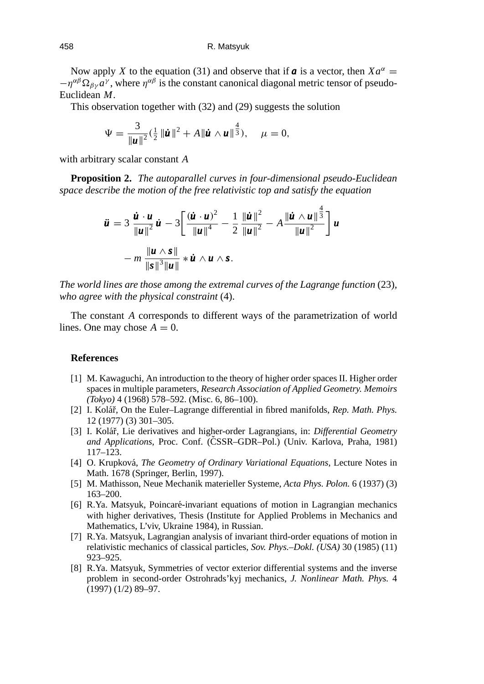Now apply *X* to the equation (31) and observe that if **a** is a vector, then  $Xa^{\alpha} =$  $-\eta^{\alpha\beta}\Omega_{\beta\nu}a^{\gamma}$ , where  $\eta^{\alpha\beta}$  is the constant canonical diagonal metric tensor of pseudo-Euclidean *M*.

This observation together with (32) and (29) suggests the solution

$$
\Psi = \frac{3}{\|\mathbf{u}\|^2} (\frac{1}{2} \|\dot{\mathbf{u}}\|^2 + A \|\dot{\mathbf{u}} \wedge \mathbf{u}\|^{\frac{4}{3}}), \quad \mu = 0,
$$

with arbitrary scalar constant *A*

**Proposition 2.** *The autoparallel curves in four-dimensional pseudo-Euclidean space describe the motion of the free relativistic top and satisfy the equation*

$$
\ddot{\mathbf{u}} = 3 \frac{\dot{\mathbf{u}} \cdot \mathbf{u}}{\Vert \mathbf{u} \Vert^2} \dot{\mathbf{u}} - 3 \left[ \frac{(\dot{\mathbf{u}} \cdot \mathbf{u})^2}{\Vert \mathbf{u} \Vert^4} - \frac{1}{2} \frac{\Vert \dot{\mathbf{u}} \Vert^2}{\Vert \mathbf{u} \Vert^2} - A \frac{\Vert \dot{\mathbf{u}} \wedge \mathbf{u} \Vert^{\frac{4}{3}}}{\Vert \mathbf{u} \Vert^2} \right] \mathbf{u}
$$

$$
- m \frac{\Vert \mathbf{u} \wedge \mathbf{s} \Vert}{\Vert \mathbf{s} \Vert^3 \Vert \mathbf{u} \Vert} * \dot{\mathbf{u}} \wedge \mathbf{u} \wedge \mathbf{s}.
$$

*The world lines are those among the extremal curves of the Lagrange function* (23)*, who agree with the physical constraint* (4).

The constant *A* corresponds to different ways of the parametrization of world lines. One may chose  $A = 0$ .

#### **References**

- [1] M.Kawaguchi, An introduction to the theory of higher order spaces II.Higher order spaces in multiple parameters, *Research Association of Applied Geometry.Memoirs (Tokyo)* 4 (1968) 578–592.(Misc.6, 86–100).
- [2] I. Kolář, On the Euler–Lagrange differential in fibred manifolds, *Rep. Math. Phys.* 12 (1977) (3) 301–305.
- [3] I. Kolář, Lie derivatives and higher-order Lagrangians, in: *Differential Geometry* and Applications, Proc. Conf. (CSSR–GDR–Pol.) (Univ. Karlova, Praha, 1981) 117–123.
- [4] O.Krupkova,´ *The Geometry of Ordinary Variational Equations*, Lecture Notes in Math.1678 (Springer, Berlin, 1997).
- [5] M.Mathisson, Neue Mechanik materieller Systeme, *Acta Phys.Polon.* 6 (1937) (3) 163–200.
- [6] R.Ya. Matsyuk, Poincaré-invariant equations of motion in Lagrangian mechanics with higher derivatives, Thesis (Institute for Applied Problems in Mechanics and Mathematics, L'viv, Ukraine 1984), in Russian.
- [7] R.Ya. Matsyuk, Lagrangian analysis of invariant third-order equations of motion in relativistic mechanics of classical particles, *Sov.Phys.–Dokl.(USA)* 30 (1985) (11) 923–925.
- [8] R.Ya. Matsyuk, Symmetries of vector exterior differential systems and the inverse problem in second-order Ostrohrads'kyj mechanics, *J.Nonlinear Math.Phys.* 4 (1997) (1/2) 89–97.